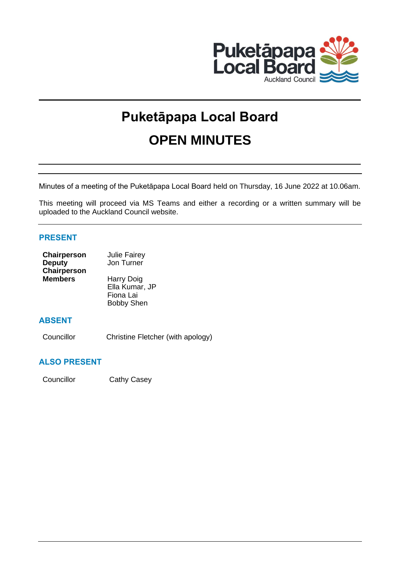

# **Puketāpapa Local Board OPEN MINUTES**

Minutes of a meeting of the Puketāpapa Local Board held on Thursday, 16 June 2022 at 10.06am.

This meeting will proceed via MS Teams and either a recording or a written summary will be uploaded to the Auckland Council website.

# **PRESENT**

| Chairperson    | <b>Julie Fairey</b> |  |  |
|----------------|---------------------|--|--|
| <b>Deputy</b>  | Jon Turner          |  |  |
| Chairperson    |                     |  |  |
| <b>Members</b> | Harry Doig          |  |  |
|                | Ella Kumar, JP      |  |  |
|                | Fiona Lai           |  |  |
|                | <b>Bobby Shen</b>   |  |  |

# **ABSENT**

Councillor Christine Fletcher (with apology)

# **ALSO PRESENT**

Councillor Cathy Casey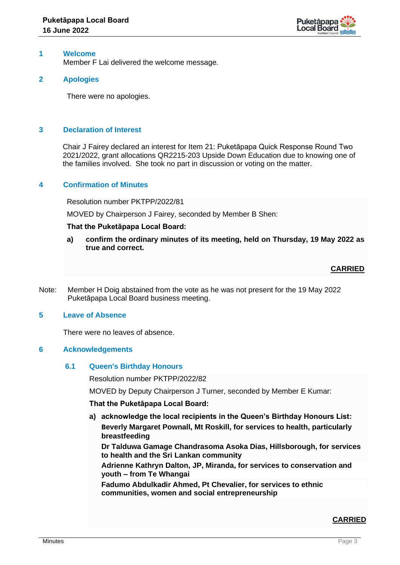

# **1 Welcome**

Member F Lai delivered the welcome message.

# **2 Apologies**

There were no apologies.

# **3 Declaration of Interest**

Chair J Fairey declared an interest for Item 21: Puketāpapa Quick Response Round Two 2021/2022, grant allocations QR2215-203 Upside Down Education due to knowing one of the families involved. She took no part in discussion or voting on the matter.

## **4 Confirmation of Minutes**

Resolution number PKTPP/2022/81

MOVED by Chairperson J Fairey, seconded by Member B Shen:

## **That the Puketāpapa Local Board:**

**a) confirm the ordinary minutes of its meeting, held on Thursday, 19 May 2022 as true and correct.**

# **CARRIED**

Note: Member H Doig abstained from the vote as he was not present for the 19 May 2022 Puketāpapa Local Board business meeting.

## **5 Leave of Absence**

There were no leaves of absence.

## **6 Acknowledgements**

## **6.1 Queen's Birthday Honours**

Resolution number PKTPP/2022/82

MOVED by Deputy Chairperson J Turner, seconded by Member E Kumar:

## **That the Puketāpapa Local Board:**

**a) acknowledge the local recipients in the Queen's Birthday Honours List: Beverly Margaret Pownall, Mt Roskill, for services to health, particularly breastfeeding**

**Dr Talduwa Gamage Chandrasoma Asoka Dias, Hillsborough, for services to health and the Sri Lankan community**

**Adrienne Kathryn Dalton, JP, Miranda, for services to conservation and youth – from Te Whangai**

**Fadumo Abdulkadir Ahmed, Pt Chevalier, for services to ethnic communities, women and social entrepreneurship**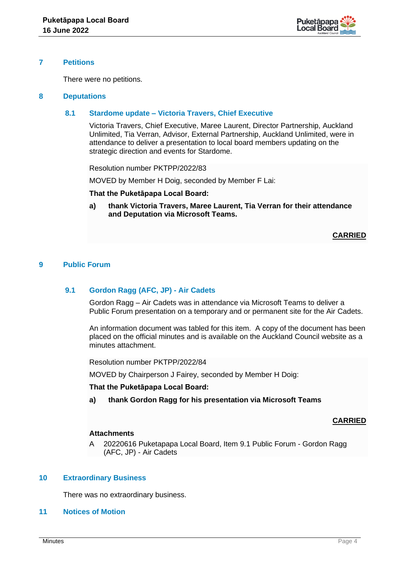

## **7 Petitions**

There were no petitions.

## **8 Deputations**

## **8.1 Stardome update – Victoria Travers, Chief Executive**

Victoria Travers, Chief Executive, Maree Laurent, Director Partnership, Auckland Unlimited, Tia Verran, Advisor, External Partnership, Auckland Unlimited, were in attendance to deliver a presentation to local board members updating on the strategic direction and events for Stardome.

Resolution number PKTPP/2022/83

MOVED by Member H Doig, seconded by Member F Lai:

**That the Puketāpapa Local Board:**

**a) thank Victoria Travers, Maree Laurent, Tia Verran for their attendance and Deputation via Microsoft Teams.**

## **CARRIED**

# **9 Public Forum**

# **9.1 Gordon Ragg (AFC, JP) - Air Cadets**

Gordon Ragg – Air Cadets was in attendance via Microsoft Teams to deliver a Public Forum presentation on a temporary and or permanent site for the Air Cadets.

An information document was tabled for this item. A copy of the document has been placed on the official minutes and is available on the Auckland Council website as a minutes attachment.

Resolution number PKTPP/2022/84

MOVED by Chairperson J Fairey, seconded by Member H Doig:

**That the Puketāpapa Local Board:**

**a) thank Gordon Ragg for his presentation via Microsoft Teams**

## **CARRIED**

## **Attachments**

A 20220616 Puketapapa Local Board, Item 9.1 Public Forum - Gordon Ragg (AFC, JP) - Air Cadets

## **10 Extraordinary Business**

There was no extraordinary business.

**11 Notices of Motion**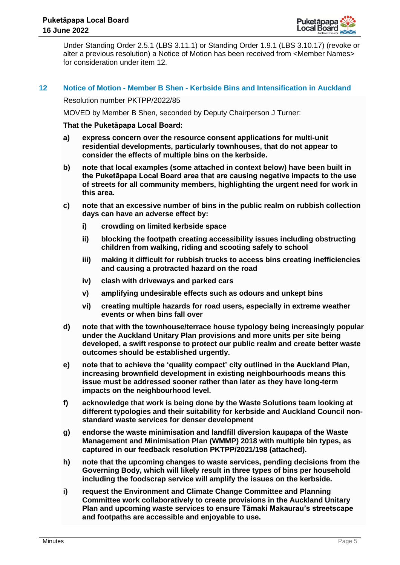

Under Standing Order 2.5.1 (LBS 3.11.1) or Standing Order 1.9.1 (LBS 3.10.17) (revoke or alter a previous resolution) a Notice of Motion has been received from <Member Names> for consideration under item 12.

## **12 Notice of Motion - Member B Shen - Kerbside Bins and Intensification in Auckland**

#### Resolution number PKTPP/2022/85

MOVED by Member B Shen, seconded by Deputy Chairperson J Turner:

- **a) express concern over the resource consent applications for multi-unit residential developments, particularly townhouses, that do not appear to consider the effects of multiple bins on the kerbside.**
- **b) note that local examples (some attached in context below) have been built in the Puketāpapa Local Board area that are causing negative impacts to the use of streets for all community members, highlighting the urgent need for work in this area.**
- **c) note that an excessive number of bins in the public realm on rubbish collection days can have an adverse effect by:**
	- **i) crowding on limited kerbside space**
	- **ii) blocking the footpath creating accessibility issues including obstructing children from walking, riding and scooting safely to school**
	- **iii) making it difficult for rubbish trucks to access bins creating inefficiencies and causing a protracted hazard on the road**
	- **iv) clash with driveways and parked cars**
	- **v) amplifying undesirable effects such as odours and unkept bins**
	- **vi) creating multiple hazards for road users, especially in extreme weather events or when bins fall over**
- **d) note that with the townhouse/terrace house typology being increasingly popular under the Auckland Unitary Plan provisions and more units per site being developed, a swift response to protect our public realm and create better waste outcomes should be established urgently.**
- **e) note that to achieve the 'quality compact' city outlined in the Auckland Plan, increasing brownfield development in existing neighbourhoods means this issue must be addressed sooner rather than later as they have long-term impacts on the neighbourhood level.**
- **f) acknowledge that work is being done by the Waste Solutions team looking at different typologies and their suitability for kerbside and Auckland Council nonstandard waste services for denser development**
- **g) endorse the waste minimisation and landfill diversion kaupapa of the Waste Management and Minimisation Plan (WMMP) 2018 with multiple bin types, as captured in our feedback resolution PKTPP/2021/198 (attached).**
- **h) note that the upcoming changes to waste services, pending decisions from the Governing Body, which will likely result in three types of bins per household including the foodscrap service will amplify the issues on the kerbside.**
- **i) request the Environment and Climate Change Committee and Planning Committee work collaboratively to create provisions in the Auckland Unitary Plan and upcoming waste services to ensure Tāmaki Makaurau's streetscape and footpaths are accessible and enjoyable to use.**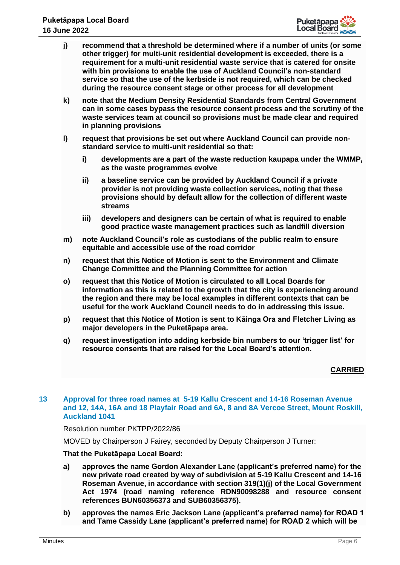

- **j) recommend that a threshold be determined where if a number of units (or some other trigger) for multi-unit residential development is exceeded, there is a requirement for a multi-unit residential waste service that is catered for onsite with bin provisions to enable the use of Auckland Council's non-standard service so that the use of the kerbside is not required, which can be checked during the resource consent stage or other process for all development**
- **k) note that the Medium Density Residential Standards from Central Government can in some cases bypass the resource consent process and the scrutiny of the waste services team at council so provisions must be made clear and required in planning provisions**
- **l) request that provisions be set out where Auckland Council can provide nonstandard service to multi-unit residential so that:**
	- **i) developments are a part of the waste reduction kaupapa under the WMMP, as the waste programmes evolve**
	- **ii) a baseline service can be provided by Auckland Council if a private provider is not providing waste collection services, noting that these provisions should by default allow for the collection of different waste streams**
	- **iii) developers and designers can be certain of what is required to enable good practice waste management practices such as landfill diversion**
- **m) note Auckland Council's role as custodians of the public realm to ensure equitable and accessible use of the road corridor**
- **n) request that this Notice of Motion is sent to the Environment and Climate Change Committee and the Planning Committee for action**
- **o) request that this Notice of Motion is circulated to all Local Boards for information as this is related to the growth that the city is experiencing around the region and there may be local examples in different contexts that can be useful for the work Auckland Council needs to do in addressing this issue.**
- **p) request that this Notice of Motion is sent to Kāinga Ora and Fletcher Living as major developers in the Puketāpapa area.**
- **q) request investigation into adding kerbside bin numbers to our 'trigger list' for resource consents that are raised for the Local Board's attention.**

**CARRIED**

# **13 Approval for three road names at 5-19 Kallu Crescent and 14-16 Roseman Avenue and 12, 14A, 16A and 18 Playfair Road and 6A, 8 and 8A Vercoe Street, Mount Roskill, Auckland 1041**

# Resolution number PKTPP/2022/86

MOVED by Chairperson J Fairey, seconded by Deputy Chairperson J Turner:

- **a) approves the name Gordon Alexander Lane (applicant's preferred name) for the new private road created by way of subdivision at 5-19 Kallu Crescent and 14-16 Roseman Avenue, in accordance with section 319(1)(j) of the Local Government Act 1974 (road naming reference RDN90098288 and resource consent references BUN60356373 and SUB60356375).**
- **b) approves the names Eric Jackson Lane (applicant's preferred name) for ROAD 1 and Tame Cassidy Lane (applicant's preferred name) for ROAD 2 which will be**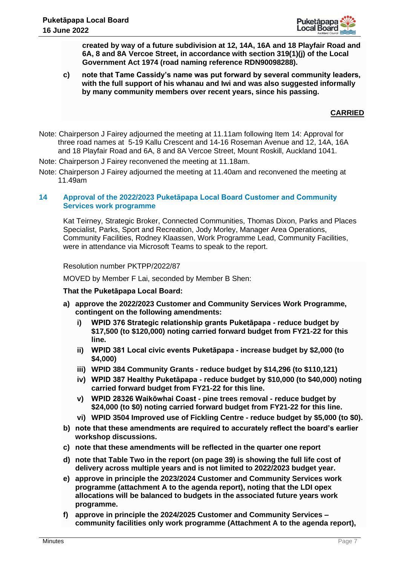

**created by way of a future subdivision at 12, 14A, 16A and 18 Playfair Road and 6A, 8 and 8A Vercoe Street, in accordance with section 319(1)(j) of the Local Government Act 1974 (road naming reference RDN90098288).**

**c) note that Tame Cassidy's name was put forward by several community leaders, with the full support of his whanau and Iwi and was also suggested informally by many community members over recent years, since his passing.**

# **CARRIED**

- Note: Chairperson J Fairey adjourned the meeting at 11.11am following Item 14: Approval for three road names at 5-19 Kallu Crescent and 14-16 Roseman Avenue and 12, 14A, 16A and 18 Playfair Road and 6A, 8 and 8A Vercoe Street, Mount Roskill, Auckland 1041.
- Note: Chairperson J Fairey reconvened the meeting at 11.18am.
- Note: Chairperson J Fairey adjourned the meeting at 11.40am and reconvened the meeting at 11.49am

# **14 Approval of the 2022/2023 Puketāpapa Local Board Customer and Community Services work programme**

Kat Teirney, Strategic Broker, Connected Communities, Thomas Dixon, Parks and Places Specialist, Parks, Sport and Recreation, Jody Morley, Manager Area Operations, Community Facilities, Rodney Klaassen, Work Programme Lead, Community Facilities, were in attendance via Microsoft Teams to speak to the report.

## Resolution number PKTPP/2022/87

MOVED by Member F Lai, seconded by Member B Shen:

- **a) approve the 2022/2023 Customer and Community Services Work Programme, contingent on the following amendments:**
	- **i) WPID 376 Strategic relationship grants Puketāpapa - reduce budget by \$17,500 (to \$120,000) noting carried forward budget from FY21-22 for this line.**
	- **ii) WPID 381 Local civic events Puketāpapa - increase budget by \$2,000 (to \$4,000)**
	- **iii) WPID 384 Community Grants - reduce budget by \$14,296 (to \$110,121)**
	- **iv) WPID 387 Healthy Puketāpapa - reduce budget by \$10,000 (to \$40,000) noting carried forward budget from FY21-22 for this line.**
	- **v) WPID 28326 Waikōwhai Coast - pine trees removal - reduce budget by \$24,000 (to \$0) noting carried forward budget from FY21-22 for this line.**
	- **vi) WPID 3504 Improved use of Fickling Centre - reduce budget by \$5,000 (to \$0).**
- **b) note that these amendments are required to accurately reflect the board's earlier workshop discussions.**
- **c) note that these amendments will be reflected in the quarter one report**
- **d) note that Table Two in the report (on page 39) is showing the full life cost of delivery across multiple years and is not limited to 2022/2023 budget year.**
- **e) approve in principle the 2023/2024 Customer and Community Services work programme (attachment A to the agenda report), noting that the LDI opex allocations will be balanced to budgets in the associated future years work programme.**
- **f) approve in principle the 2024/2025 Customer and Community Services – community facilities only work programme (Attachment A to the agenda report),**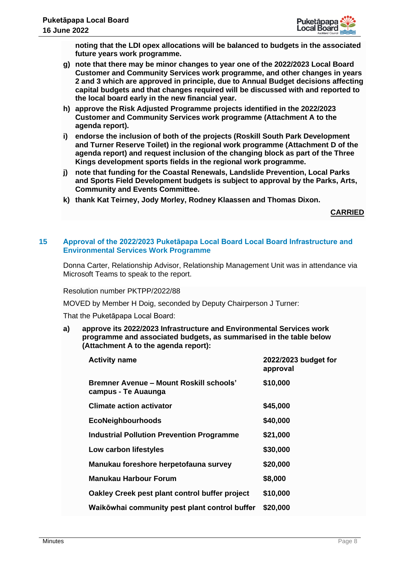

**noting that the LDI opex allocations will be balanced to budgets in the associated future years work programme.** 

- **g) note that there may be minor changes to year one of the 2022/2023 Local Board Customer and Community Services work programme, and other changes in years 2 and 3 which are approved in principle, due to Annual Budget decisions affecting capital budgets and that changes required will be discussed with and reported to the local board early in the new financial year.**
- **h) approve the Risk Adjusted Programme projects identified in the 2022/2023 Customer and Community Services work programme (Attachment A to the agenda report).**
- **i) endorse the inclusion of both of the projects (Roskill South Park Development and Turner Reserve Toilet) in the regional work programme (Attachment D of the agenda report) and request inclusion of the changing block as part of the Three Kings development sports fields in the regional work programme.**
- **j) note that funding for the Coastal Renewals, Landslide Prevention, Local Parks and Sports Field Development budgets is subject to approval by the Parks, Arts, Community and Events Committee.**
- **k) thank Kat Teirney, Jody Morley, Rodney Klaassen and Thomas Dixon.**

**CARRIED**

## **15 Approval of the 2022/2023 Puketāpapa Local Board Local Board Infrastructure and Environmental Services Work Programme**

Donna Carter, Relationship Advisor, Relationship Management Unit was in attendance via Microsoft Teams to speak to the report.

Resolution number PKTPP/2022/88

MOVED by Member H Doig, seconded by Deputy Chairperson J Turner:

That the Puketāpapa Local Board:

**a) approve its 2022/2023 Infrastructure and Environmental Services work programme and associated budgets, as summarised in the table below (Attachment A to the agenda report):** 

| <b>Activity name</b>                                           | 2022/2023 budget for<br>approval |
|----------------------------------------------------------------|----------------------------------|
| Bremner Avenue – Mount Roskill schools'<br>campus - Te Auaunga | \$10,000                         |
| <b>Climate action activator</b>                                | \$45,000                         |
| <b>EcoNeighbourhoods</b>                                       | \$40,000                         |
| <b>Industrial Pollution Prevention Programme</b>               | \$21,000                         |
| Low carbon lifestyles                                          | \$30,000                         |
| Manukau foreshore herpetofauna survey                          | \$20,000                         |
| Manukau Harbour Forum                                          | \$8,000                          |
| Oakley Creek pest plant control buffer project                 | \$10,000                         |
| Waikōwhai community pest plant control buffer                  | \$20,000                         |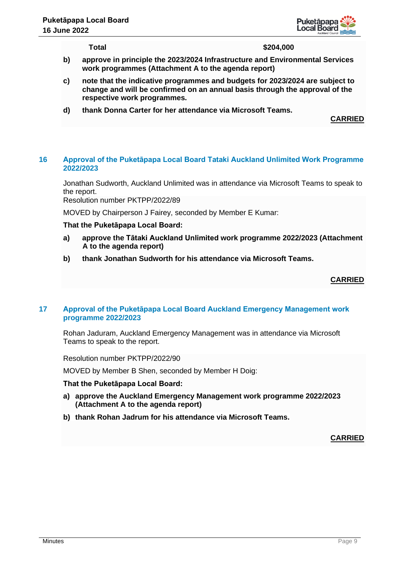

**Total \$204,000**

- **b) approve in principle the 2023/2024 Infrastructure and Environmental Services work programmes (Attachment A to the agenda report)**
- **c) note that the indicative programmes and budgets for 2023/2024 are subject to change and will be confirmed on an annual basis through the approval of the respective work programmes.**
- **d) thank Donna Carter for her attendance via Microsoft Teams.**

**CARRIED**

## **16 Approval of the Puketāpapa Local Board Tataki Auckland Unlimited Work Programme 2022/2023**

Jonathan Sudworth, Auckland Unlimited was in attendance via Microsoft Teams to speak to the report.

Resolution number PKTPP/2022/89

MOVED by Chairperson J Fairey, seconded by Member E Kumar:

## **That the Puketāpapa Local Board:**

- **a) approve the Tātaki Auckland Unlimited work programme 2022/2023 (Attachment A to the agenda report)**
- **b) thank Jonathan Sudworth for his attendance via Microsoft Teams.**

# **CARRIED**

# **17 Approval of the Puketāpapa Local Board Auckland Emergency Management work programme 2022/2023**

Rohan Jaduram, Auckland Emergency Management was in attendance via Microsoft Teams to speak to the report.

Resolution number PKTPP/2022/90

MOVED by Member B Shen, seconded by Member H Doig:

## **That the Puketāpapa Local Board:**

- **a) approve the Auckland Emergency Management work programme 2022/2023 (Attachment A to the agenda report)**
- **b) thank Rohan Jadrum for his attendance via Microsoft Teams.**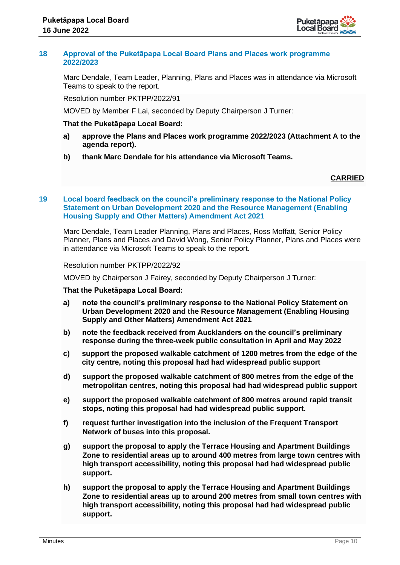

## **18 Approval of the Puketāpapa Local Board Plans and Places work programme 2022/2023**

Marc Dendale, Team Leader, Planning, Plans and Places was in attendance via Microsoft Teams to speak to the report.

Resolution number PKTPP/2022/91

MOVED by Member F Lai, seconded by Deputy Chairperson J Turner:

## **That the Puketāpapa Local Board:**

- **a) approve the Plans and Places work programme 2022/2023 (Attachment A to the agenda report).**
- **b) thank Marc Dendale for his attendance via Microsoft Teams.**

# **CARRIED**

# **19 Local board feedback on the council's preliminary response to the National Policy Statement on Urban Development 2020 and the Resource Management (Enabling Housing Supply and Other Matters) Amendment Act 2021**

Marc Dendale, Team Leader Planning, Plans and Places, Ross Moffatt, Senior Policy Planner, Plans and Places and David Wong, Senior Policy Planner, Plans and Places were in attendance via Microsoft Teams to speak to the report.

#### Resolution number PKTPP/2022/92

MOVED by Chairperson J Fairey, seconded by Deputy Chairperson J Turner:

- **a) note the council's preliminary response to the National Policy Statement on Urban Development 2020 and the Resource Management (Enabling Housing Supply and Other Matters) Amendment Act 2021**
- **b) note the feedback received from Aucklanders on the council's preliminary response during the three-week public consultation in April and May 2022**
- **c) support the proposed walkable catchment of 1200 metres from the edge of the city centre, noting this proposal had had widespread public support**
- **d) support the proposed walkable catchment of 800 metres from the edge of the metropolitan centres, noting this proposal had had widespread public support**
- **e) support the proposed walkable catchment of 800 metres around rapid transit stops, noting this proposal had had widespread public support.**
- **f) request further investigation into the inclusion of the Frequent Transport Network of buses into this proposal.**
- **g) support the proposal to apply the Terrace Housing and Apartment Buildings Zone to residential areas up to around 400 metres from large town centres with high transport accessibility, noting this proposal had had widespread public support.**
- **h) support the proposal to apply the Terrace Housing and Apartment Buildings Zone to residential areas up to around 200 metres from small town centres with high transport accessibility, noting this proposal had had widespread public support.**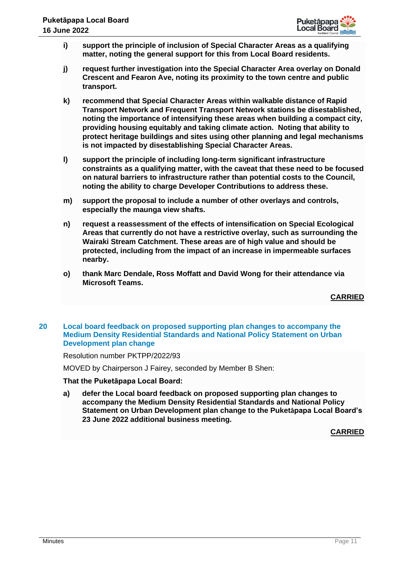

- **i) support the principle of inclusion of Special Character Areas as a qualifying matter, noting the general support for this from Local Board residents.**
- **j) request further investigation into the Special Character Area overlay on Donald Crescent and Fearon Ave, noting its proximity to the town centre and public transport.**
- **k) recommend that Special Character Areas within walkable distance of Rapid Transport Network and Frequent Transport Network stations be disestablished, noting the importance of intensifying these areas when building a compact city, providing housing equitably and taking climate action. Noting that ability to protect heritage buildings and sites using other planning and legal mechanisms is not impacted by disestablishing Special Character Areas.**
- **l) support the principle of including long-term significant infrastructure constraints as a qualifying matter, with the caveat that these need to be focused on natural barriers to infrastructure rather than potential costs to the Council, noting the ability to charge Developer Contributions to address these.**
- **m) support the proposal to include a number of other overlays and controls, especially the maunga view shafts.**
- **n) request a reassessment of the effects of intensification on Special Ecological Areas that currently do not have a restrictive overlay, such as surrounding the Wairaki Stream Catchment. These areas are of high value and should be protected, including from the impact of an increase in impermeable surfaces nearby.**
- **o) thank Marc Dendale, Ross Moffatt and David Wong for their attendance via Microsoft Teams.**

**CARRIED**

# **20 Local board feedback on proposed supporting plan changes to accompany the Medium Density Residential Standards and National Policy Statement on Urban Development plan change**

Resolution number PKTPP/2022/93

MOVED by Chairperson J Fairey, seconded by Member B Shen:

# **That the Puketāpapa Local Board:**

**a) defer the Local board feedback on proposed supporting plan changes to accompany the Medium Density Residential Standards and National Policy Statement on Urban Development plan change to the Puketāpapa Local Board's 23 June 2022 additional business meeting.**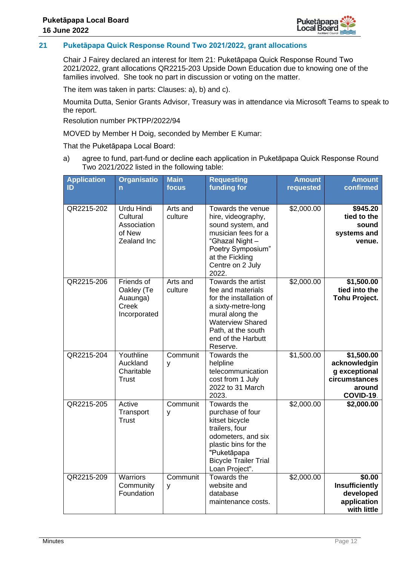

# **21 Puketāpapa Quick Response Round Two 2021/2022, grant allocations**

Chair J Fairey declared an interest for Item 21: Puketāpapa Quick Response Round Two 2021/2022, grant allocations QR2215-203 Upside Down Education due to knowing one of the families involved. She took no part in discussion or voting on the matter.

The item was taken in parts: Clauses: a), b) and c).

Moumita Dutta, Senior Grants Advisor, Treasury was in attendance via Microsoft Teams to speak to the report.

Resolution number PKTPP/2022/94

MOVED by Member H Doig, seconded by Member E Kumar:

That the Puketāpapa Local Board:

a) agree to fund, part-fund or decline each application in Puketāpapa Quick Response Round Two 2021/2022 listed in the following table:

| <b>Application</b><br>ID | <b>Organisatio</b><br>n                                               | <b>Main</b><br>focus | <b>Requesting</b><br>funding for                                                                                                                                                               | <b>Amount</b><br>requested | <b>Amount</b><br>confirmed                                                          |
|--------------------------|-----------------------------------------------------------------------|----------------------|------------------------------------------------------------------------------------------------------------------------------------------------------------------------------------------------|----------------------------|-------------------------------------------------------------------------------------|
| QR2215-202               | <b>Urdu Hindi</b><br>Cultural<br>Association<br>of New<br>Zealand Inc | Arts and<br>culture  | Towards the venue<br>hire, videography,<br>sound system, and<br>musician fees for a<br>"Ghazal Night-<br>Poetry Symposium"<br>at the Fickling<br>Centre on 2 July<br>2022.                     | \$2,000.00                 | \$945.20<br>tied to the<br>sound<br>systems and<br>venue.                           |
| QR2215-206               | Friends of<br>Oakley (Te<br>Auaunga)<br>Creek<br>Incorporated         | Arts and<br>culture  | Towards the artist<br>fee and materials<br>for the installation of<br>a sixty-metre-long<br>mural along the<br><b>Waterview Shared</b><br>Path, at the south<br>end of the Harbutt<br>Reserve. | \$2,000.00                 | \$1,500.00<br>tied into the<br><b>Tohu Project.</b>                                 |
| QR2215-204               | Youthline<br>Auckland<br>Charitable<br><b>Trust</b>                   | Communit<br>y        | Towards the<br>helpline<br>telecommunication<br>cost from 1 July<br>2022 to 31 March<br>2023.                                                                                                  | \$1,500.00                 | \$1,500.00<br>acknowledgin<br>g exceptional<br>circumstances<br>around<br>COVID-19. |
| QR2215-205               | Active<br>Transport<br><b>Trust</b>                                   | Communit<br>y        | Towards the<br>purchase of four<br>kitset bicycle<br>trailers, four<br>odometers, and six<br>plastic bins for the<br>"Puketāpapa<br><b>Bicycle Trailer Trial</b><br>Loan Project".             | \$2,000.00                 | \$2,000.00                                                                          |
| QR2215-209               | Warriors<br>Community<br>Foundation                                   | Communit<br>y        | Towards the<br>website and<br>database<br>maintenance costs.                                                                                                                                   | \$2,000.00                 | \$0.00<br>Insufficiently<br>developed<br>application<br>with little                 |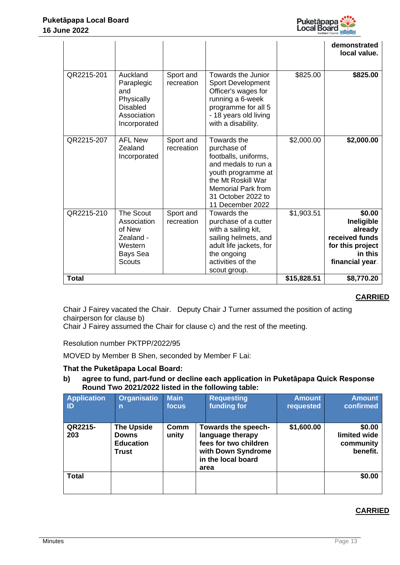

|              |                                                                                               |                         |                                                                                                                                                                                              |             | demonstrated<br>local value.                                                                        |
|--------------|-----------------------------------------------------------------------------------------------|-------------------------|----------------------------------------------------------------------------------------------------------------------------------------------------------------------------------------------|-------------|-----------------------------------------------------------------------------------------------------|
| QR2215-201   | Auckland<br>Paraplegic<br>and<br>Physically<br><b>Disabled</b><br>Association<br>Incorporated | Sport and<br>recreation | Towards the Junior<br><b>Sport Development</b><br>Officer's wages for<br>running a 6-week<br>programme for all 5<br>- 18 years old living<br>with a disability.                              | \$825.00    | \$825.00                                                                                            |
| QR2215-207   | <b>AFL New</b><br>Zealand<br>Incorporated                                                     | Sport and<br>recreation | Towards the<br>purchase of<br>footballs, uniforms,<br>and medals to run a<br>youth programme at<br>the Mt Roskill War<br><b>Memorial Park from</b><br>31 October 2022 to<br>11 December 2022 | \$2,000.00  | \$2,000.00                                                                                          |
| QR2215-210   | The Scout<br>Association<br>of New<br>Zealand -<br>Western<br>Bays Sea<br><b>Scouts</b>       | Sport and<br>recreation | Towards the<br>purchase of a cutter<br>with a sailing kit,<br>sailing helmets, and<br>adult life jackets, for<br>the ongoing<br>activities of the<br>scout group.                            | \$1,903.51  | \$0.00<br>Ineligible<br>already<br>received funds<br>for this project<br>in this<br>financial year. |
| <b>Total</b> |                                                                                               |                         |                                                                                                                                                                                              | \$15,828.51 | \$8,770.20                                                                                          |

**CARRIED**

Chair J Fairey vacated the Chair. Deputy Chair J Turner assumed the position of acting chairperson for clause b)

Chair J Fairey assumed the Chair for clause c) and the rest of the meeting.

Resolution number PKTPP/2022/95

MOVED by Member B Shen, seconded by Member F Lai:

# **That the Puketāpapa Local Board:**

**b) agree to fund, part-fund or decline each application in Puketāpapa Quick Response Round Two 2021/2022 listed in the following table:** 

| <b>Application</b><br><b>ID</b> | <b>Organisatio</b><br>n                                        | <b>Main</b><br>focus | <b>Requesting</b><br>funding for                                                                                     | <b>Amount</b><br>requested | <b>Amount</b><br>confirmed                      |
|---------------------------------|----------------------------------------------------------------|----------------------|----------------------------------------------------------------------------------------------------------------------|----------------------------|-------------------------------------------------|
| QR2215-<br>203                  | <b>The Upside</b><br><b>Downs</b><br><b>Education</b><br>Trust | Comm<br>unity        | Towards the speech-<br>language therapy<br>fees for two children<br>with Down Syndrome<br>in the local board<br>area | \$1,600.00                 | \$0.00<br>limited wide<br>community<br>benefit. |
| <b>Total</b>                    |                                                                |                      |                                                                                                                      |                            | \$0.00                                          |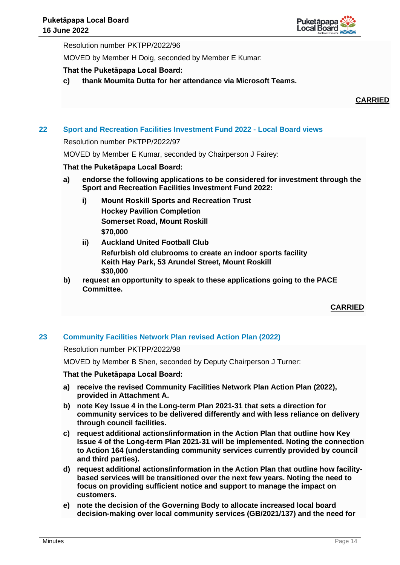

Resolution number PKTPP/2022/96

MOVED by Member H Doig, seconded by Member E Kumar:

# **That the Puketāpapa Local Board:**

**c) thank Moumita Dutta for her attendance via Microsoft Teams.** 

## **CARRIED**

# **22 Sport and Recreation Facilities Investment Fund 2022 - Local Board views**

Resolution number PKTPP/2022/97

MOVED by Member E Kumar, seconded by Chairperson J Fairey:

## **That the Puketāpapa Local Board:**

- **a) endorse the following applications to be considered for investment through the Sport and Recreation Facilities Investment Fund 2022:**
	- **i) Mount Roskill Sports and Recreation Trust Hockey Pavilion Completion Somerset Road, Mount Roskill \$70,000**
	- **ii) Auckland United Football Club Refurbish old clubrooms to create an indoor sports facility Keith Hay Park, 53 Arundel Street, Mount Roskill \$30,000**
- **b) request an opportunity to speak to these applications going to the PACE Committee.**

**CARRIED**

# **23 Community Facilities Network Plan revised Action Plan (2022)**

Resolution number PKTPP/2022/98

MOVED by Member B Shen, seconded by Deputy Chairperson J Turner:

- **a) receive the revised Community Facilities Network Plan Action Plan (2022), provided in Attachment A.**
- **b) note Key Issue 4 in the Long-term Plan 2021-31 that sets a direction for community services to be delivered differently and with less reliance on delivery through council facilities.**
- **c) request additional actions/information in the Action Plan that outline how Key Issue 4 of the Long-term Plan 2021-31 will be implemented. Noting the connection to Action 164 (understanding community services currently provided by council and third parties).**
- **d) request additional actions/information in the Action Plan that outline how facilitybased services will be transitioned over the next few years. Noting the need to focus on providing sufficient notice and support to manage the impact on customers.**
- **e) note the decision of the Governing Body to allocate increased local board decision-making over local community services (GB/2021/137) and the need for**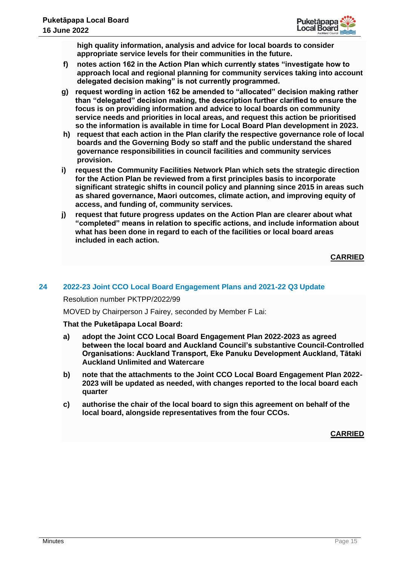

**high quality information, analysis and advice for local boards to consider appropriate service levels for their communities in the future.**

- **f) notes action 162 in the Action Plan which currently states "investigate how to approach local and regional planning for community services taking into account delegated decision making" is not currently programmed.**
- **g) request wording in action 162 be amended to "allocated" decision making rather than "delegated" decision making, the description further clarified to ensure the focus is on providing information and advice to local boards on community service needs and priorities in local areas, and request this action be prioritised so the information is available in time for Local Board Plan development in 2023.**
- **h) request that each action in the Plan clarify the respective governance role of local boards and the Governing Body so staff and the public understand the shared governance responsibilities in council facilities and community services provision.**
- **i) request the Community Facilities Network Plan which sets the strategic direction for the Action Plan be reviewed from a first principles basis to incorporate significant strategic shifts in council policy and planning since 2015 in areas such as shared governance, Maori outcomes, climate action, and improving equity of access, and funding of, community services.**
- **j) request that future progress updates on the Action Plan are clearer about what "completed" means in relation to specific actions, and include information about what has been done in regard to each of the facilities or local board areas included in each action.**

# **CARRIED**

# **24 2022-23 Joint CCO Local Board Engagement Plans and 2021-22 Q3 Update**

Resolution number PKTPP/2022/99

MOVED by Chairperson J Fairey, seconded by Member F Lai:

## **That the Puketāpapa Local Board:**

- **a) adopt the Joint CCO Local Board Engagement Plan 2022-2023 as agreed between the local board and Auckland Council's substantive Council-Controlled Organisations: Auckland Transport, Eke Panuku Development Auckland, Tātaki Auckland Unlimited and Watercare**
- **b) note that the attachments to the Joint CCO Local Board Engagement Plan 2022- 2023 will be updated as needed, with changes reported to the local board each quarter**
- **c) authorise the chair of the local board to sign this agreement on behalf of the local board, alongside representatives from the four CCOs.**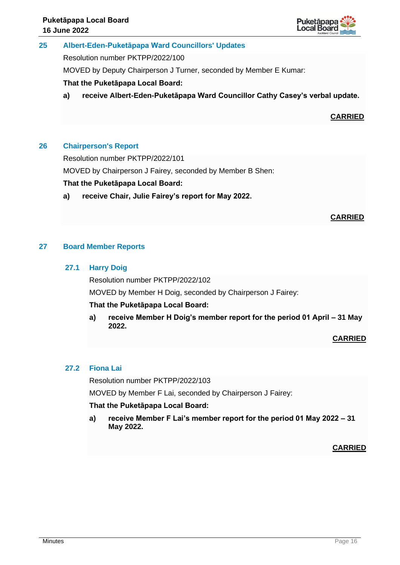

# **25 Albert-Eden-Puketāpapa Ward Councillors' Updates**

Resolution number PKTPP/2022/100

MOVED by Deputy Chairperson J Turner, seconded by Member E Kumar:

# **That the Puketāpapa Local Board:**

**a) receive Albert-Eden-Puketāpapa Ward Councillor Cathy Casey's verbal update.**

**CARRIED**

# **26 Chairperson's Report**

Resolution number PKTPP/2022/101

MOVED by Chairperson J Fairey, seconded by Member B Shen:

# **That the Puketāpapa Local Board:**

**a) receive Chair, Julie Fairey's report for May 2022.**

# **CARRIED**

# **27 Board Member Reports**

# **27.1 Harry Doig**

Resolution number PKTPP/2022/102

MOVED by Member H Doig, seconded by Chairperson J Fairey:

## **That the Puketāpapa Local Board:**

**a) receive Member H Doig's member report for the period 01 April – 31 May 2022.**

# **CARRIED**

# **27.2 Fiona Lai**

Resolution number PKTPP/2022/103

MOVED by Member F Lai, seconded by Chairperson J Fairey:

# **That the Puketāpapa Local Board:**

**a) receive Member F Lai's member report for the period 01 May 2022 – 31 May 2022.**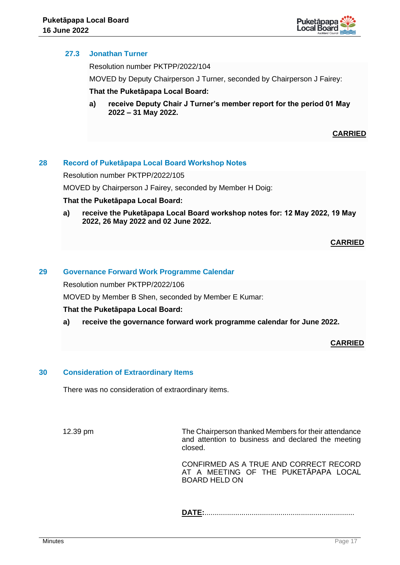

# **27.3 Jonathan Turner**

Resolution number PKTPP/2022/104

MOVED by Deputy Chairperson J Turner, seconded by Chairperson J Fairey:

## **That the Puketāpapa Local Board:**

**a) receive Deputy Chair J Turner's member report for the period 01 May 2022 – 31 May 2022.**

**CARRIED**

# **28 Record of Puketāpapa Local Board Workshop Notes**

Resolution number PKTPP/2022/105

MOVED by Chairperson J Fairey, seconded by Member H Doig:

#### **That the Puketāpapa Local Board:**

**a) receive the Puketāpapa Local Board workshop notes for: 12 May 2022, 19 May 2022, 26 May 2022 and 02 June 2022.**

## **CARRIED**

## **29 Governance Forward Work Programme Calendar**

Resolution number PKTPP/2022/106

MOVED by Member B Shen, seconded by Member E Kumar:

## **That the Puketāpapa Local Board:**

**a) receive the governance forward work programme calendar for June 2022.**

# **CARRIED**

## **30 Consideration of Extraordinary Items**

There was no consideration of extraordinary items.

12.39 pm The Chairperson thanked Members for their attendance and attention to business and declared the meeting closed.

> CONFIRMED AS A TRUE AND CORRECT RECORD AT A MEETING OF THE PUKETĀPAPA LOCAL BOARD HELD ON

**DATE:**.........................................................................